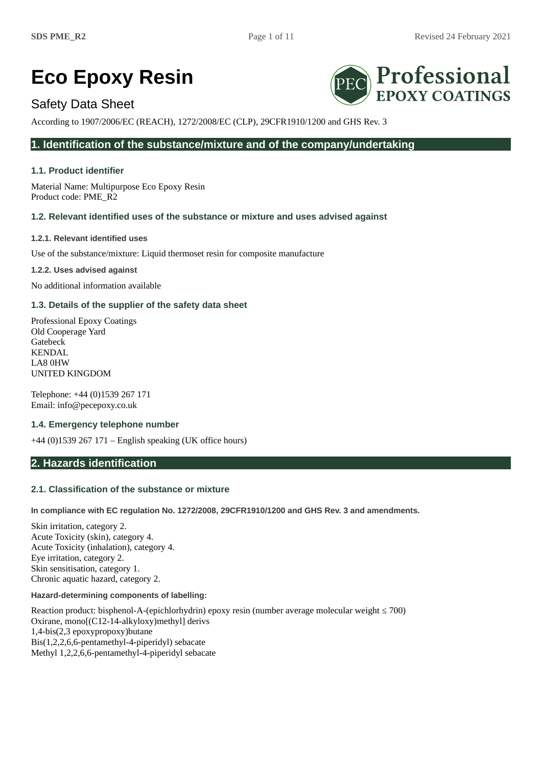# **Eco Epoxy Resin**

# Safety Data Sheet

According to 1907/2006/EC (REACH), 1272/2008/EC (CLP), 29CFR1910/1200 and GHS Rev. 3

# **1. Identification of the substance/mixture and of the company/undertaking**

# **1.1. Product identifier**

Material Name: Multipurpose Eco Epoxy Resin Product code: PME\_R2

# **1.2. Relevant identified uses of the substance or mixture and uses advised against**

**1.2.1. Relevant identified uses**

Use of the substance/mixture: Liquid thermoset resin for composite manufacture

**1.2.2. Uses advised against**

No additional information available

# **1.3. Details of the supplier of the safety data sheet**

Professional Epoxy Coatings Old Cooperage Yard Gatebeck KENDAL LA8 0HW UNITED KINGDOM

Telephone: +44 (0)1539 267 171 Email: info@pecepoxy.co.uk

## **1.4. Emergency telephone number**

+44 (0)1539 267 171 – English speaking (UK office hours)

# **2. Hazards identification**

# **2.1. Classification of the substance or mixture**

**In compliance with EC regulation No. 1272/2008, 29CFR1910/1200 and GHS Rev. 3 and amendments.**

Skin irritation, category 2. Acute Toxicity (skin), category 4. Acute Toxicity (inhalation), category 4. Eye irritation, category 2. Skin sensitisation, category 1. Chronic aquatic hazard, category 2.

## **Hazard-determining components of labelling:**

Reaction product: bisphenol-A-(epichlorhydrin) epoxy resin (number average molecular weight ≤ 700) Oxirane, mono[(C12-14-alkyloxy)methyl] derivs 1,4-bis(2,3 epoxypropoxy)butane Bis(1,2,2,6,6-pentamethyl-4-piperidyl) sebacate Methyl 1,2,2,6,6-pentamethyl-4-piperidyl sebacate

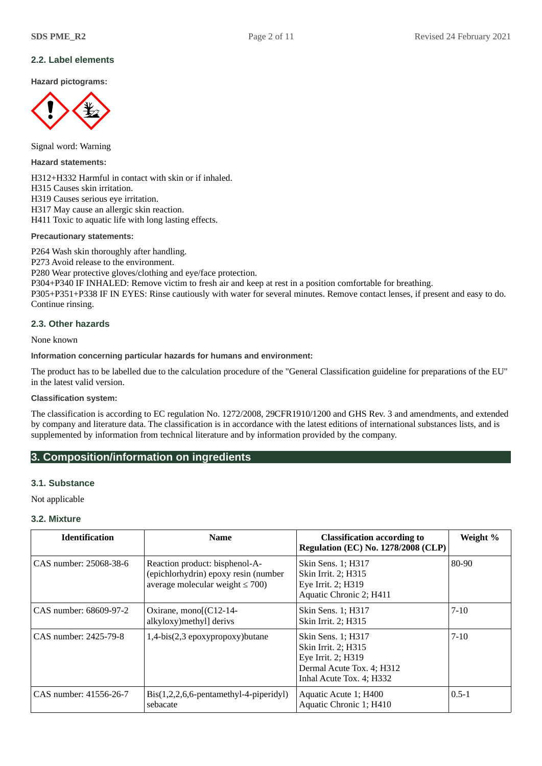# **2.2. Label elements**

**Hazard pictograms:**



Signal word: Warning

**Hazard statements:**

H312+H332 Harmful in contact with skin or if inhaled. H315 Causes skin irritation. H319 Causes serious eye irritation. H317 May cause an allergic skin reaction. H411 Toxic to aquatic life with long lasting effects.

**Precautionary statements:**

P264 Wash skin thoroughly after handling.

P273 Avoid release to the environment.

P280 Wear protective gloves/clothing and eye/face protection.

P304+P340 IF INHALED: Remove victim to fresh air and keep at rest in a position comfortable for breathing.

P305+P351+P338 IF IN EYES: Rinse cautiously with water for several minutes. Remove contact lenses, if present and easy to do. Continue rinsing.

## **2.3. Other hazards**

None known

## **Information concerning particular hazards for humans and environment:**

The product has to be labelled due to the calculation procedure of the "General Classification guideline for preparations of the EU" in the latest valid version.

## **Classification system:**

The classification is according to EC regulation No. 1272/2008, 29CFR1910/1200 and GHS Rev. 3 and amendments, and extended by company and literature data. The classification is in accordance with the latest editions of international substances lists, and is supplemented by information from technical literature and by information provided by the company.

# **3. Composition/information on ingredients**

## **3.1. Substance**

Not applicable

## **3.2. Mixture**

| <b>Identification</b>  | <b>Name</b>                                                                                                     | <b>Classification according to</b><br><b>Regulation (EC) No. 1278/2008 (CLP)</b>                                         | Weight %  |
|------------------------|-----------------------------------------------------------------------------------------------------------------|--------------------------------------------------------------------------------------------------------------------------|-----------|
| CAS number: 25068-38-6 | Reaction product: bisphenol-A-<br>(epichlorhydrin) epoxy resin (number<br>average molecular weight $\leq 700$ ) | Skin Sens. 1; H317<br>Skin Irrit. 2; H315<br>Eye Irrit. 2; H319<br>Aquatic Chronic 2; H411                               | 80-90     |
| CAS number: 68609-97-2 | Oxirane, mono[(C12-14-<br>alkyloxy) methyl] derivs                                                              | Skin Sens. 1; H317<br>Skin Irrit. 2; H315                                                                                | $7 - 10$  |
| CAS number: 2425-79-8  | 1,4-bis(2,3 epoxypropoxy)butane                                                                                 | Skin Sens. 1; H317<br>Skin Irrit. 2; H315<br>Eye Irrit. 2; H319<br>Dermal Acute Tox. 4; H312<br>Inhal Acute Tox. 4; H332 | $7 - 10$  |
| CAS number: 41556-26-7 | Bis(1,2,2,6,6-pentamethyl-4-piperidyl)<br>sebacate                                                              | Aquatic Acute 1; H400<br>Aquatic Chronic 1; H410                                                                         | $0.5 - 1$ |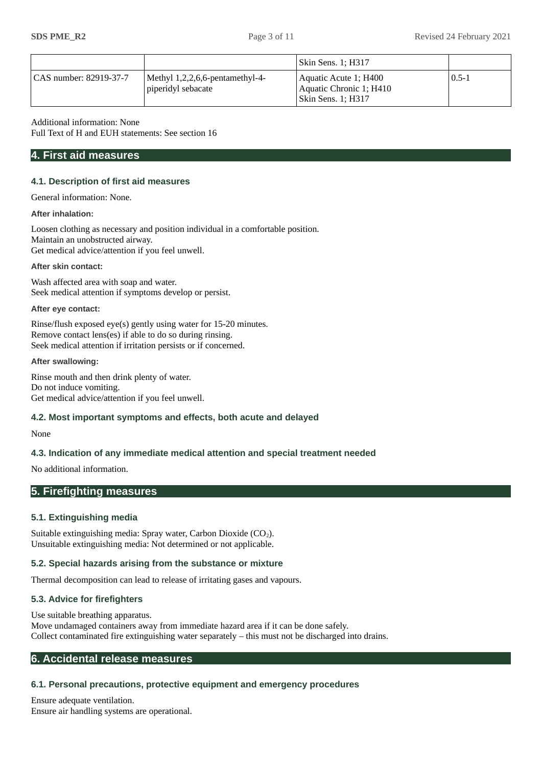|                        |                                                          | Skin Sens. 1; H317                                                       |           |
|------------------------|----------------------------------------------------------|--------------------------------------------------------------------------|-----------|
| CAS number: 82919-37-7 | Methyl $1,2,2,6,6$ -pentamethyl-4-<br>piperidyl sebacate | Aquatic Acute 1; H400<br>Aquatic Chronic 1; H410<br>  Skin Sens. 1; H317 | $0.5 - 1$ |

Additional information: None

Full Text of H and EUH statements: See section 16

# **4. First aid measures**

## **4.1. Description of first aid measures**

General information: None.

#### **After inhalation:**

Loosen clothing as necessary and position individual in a comfortable position. Maintain an unobstructed airway. Get medical advice/attention if you feel unwell.

#### **After skin contact:**

Wash affected area with soap and water. Seek medical attention if symptoms develop or persist.

#### **After eye contact:**

Rinse/flush exposed eye(s) gently using water for 15-20 minutes. Remove contact lens(es) if able to do so during rinsing. Seek medical attention if irritation persists or if concerned.

#### **After swallowing:**

Rinse mouth and then drink plenty of water. Do not induce vomiting. Get medical advice/attention if you feel unwell.

## **4.2. Most important symptoms and effects, both acute and delayed**

#### None

# **4.3. Indication of any immediate medical attention and special treatment needed**

No additional information.

# **5. Firefighting measures**

## **5.1. Extinguishing media**

Suitable extinguishing media: Spray water, Carbon Dioxide  $(CO<sub>2</sub>)$ . Unsuitable extinguishing media: Not determined or not applicable.

## **5.2. Special hazards arising from the substance or mixture**

Thermal decomposition can lead to release of irritating gases and vapours.

## **5.3. Advice for firefighters**

Use suitable breathing apparatus. Move undamaged containers away from immediate hazard area if it can be done safely. Collect contaminated fire extinguishing water separately – this must not be discharged into drains.

# **6. Accidental release measures**

# **6.1. Personal precautions, protective equipment and emergency procedures**

Ensure adequate ventilation. Ensure air handling systems are operational.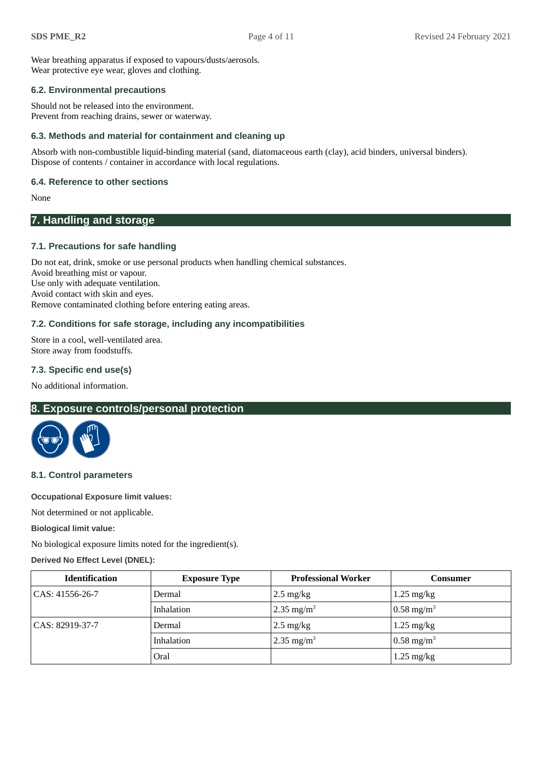Wear breathing apparatus if exposed to vapours/dusts/aerosols. Wear protective eye wear, gloves and clothing.

## **6.2. Environmental precautions**

Should not be released into the environment. Prevent from reaching drains, sewer or waterway.

# **6.3. Methods and material for containment and cleaning up**

Absorb with non-combustible liquid-binding material (sand, diatomaceous earth (clay), acid binders, universal binders). Dispose of contents / container in accordance with local regulations.

# **6.4. Reference to other sections**

None

# **7. Handling and storage**

# **7.1. Precautions for safe handling**

Do not eat, drink, smoke or use personal products when handling chemical substances. Avoid breathing mist or vapour. Use only with adequate ventilation. Avoid contact with skin and eyes. Remove contaminated clothing before entering eating areas.

# **7.2. Conditions for safe storage, including any incompatibilities**

Store in a cool, well-ventilated area. Store away from foodstuffs.

# **7.3. Specific end use(s)**

No additional information.

# **8. Exposure controls/personal protection**



## **8.1. Control parameters**

**Occupational Exposure limit values:**

Not determined or not applicable.

**Biological limit value:**

No biological exposure limits noted for the ingredient(s).

## **Derived No Effect Level (DNEL):**

| <b>Identification</b> | <b>Exposure Type</b> | <b>Professional Worker</b> | Consumer                 |
|-----------------------|----------------------|----------------------------|--------------------------|
| CAS: 41556-26-7       | Dermal               | $2.5 \text{ mg/kg}$        | $1.25 \text{ mg/kg}$     |
|                       | Inhalation           | 2.35 mg/m <sup>3</sup>     | $0.58 \text{ mg/m}^3$    |
| CAS: 82919-37-7       | Dermal               | $2.5 \text{ mg/kg}$        | $1.25 \text{ mg/kg}$     |
|                       | Inhalation           | 2.35 mg/m <sup>3</sup>     | $0.58$ mg/m <sup>3</sup> |
|                       | Oral                 |                            | $1.25 \text{ mg/kg}$     |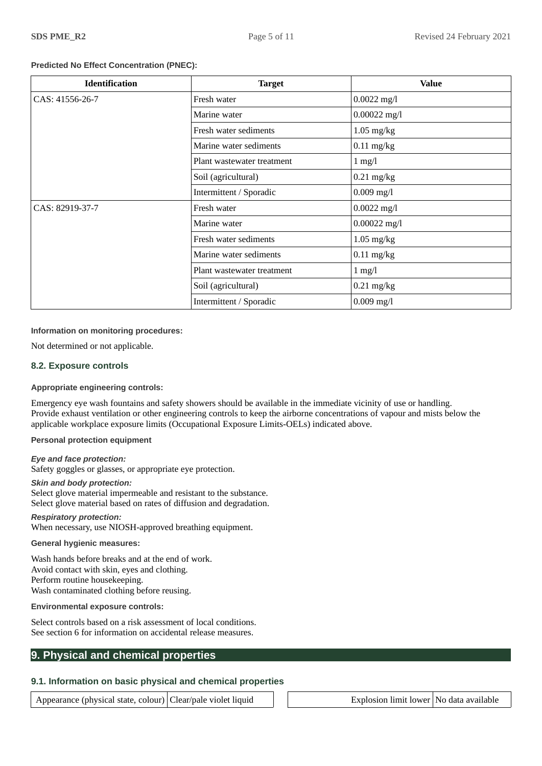### **Predicted No Effect Concentration (PNEC):**

| <b>Identification</b> | <b>Target</b>              | <b>Value</b>   |
|-----------------------|----------------------------|----------------|
| CAS: 41556-26-7       | Fresh water                | $0.0022$ mg/l  |
|                       | Marine water               | $0.00022$ mg/l |
|                       | Fresh water sediments      | $1.05$ mg/kg   |
|                       | Marine water sediments     | $0.11$ mg/kg   |
|                       | Plant wastewater treatment | $1$ mg/l       |
|                       | Soil (agricultural)        | $0.21$ mg/kg   |
|                       | Intermittent / Sporadic    | $0.009$ mg/l   |
| CAS: 82919-37-7       | Fresh water                | $0.0022$ mg/l  |
|                       | Marine water               | $0.00022$ mg/l |
|                       | Fresh water sediments      | $1.05$ mg/kg   |
|                       | Marine water sediments     | $0.11$ mg/kg   |
|                       | Plant wastewater treatment | $1$ mg/l       |
|                       | Soil (agricultural)        | $0.21$ mg/kg   |
|                       | Intermittent / Sporadic    | $0.009$ mg/l   |

#### **Information on monitoring procedures:**

Not determined or not applicable.

#### **8.2. Exposure controls**

### **Appropriate engineering controls:**

Emergency eye wash fountains and safety showers should be available in the immediate vicinity of use or handling. Provide exhaust ventilation or other engineering controls to keep the airborne concentrations of vapour and mists below the applicable workplace exposure limits (Occupational Exposure Limits-OELs) indicated above.

**Personal protection equipment**

#### *Eye and face protection:*

Safety goggles or glasses, or appropriate eye protection.

#### *Skin and body protection:*

Select glove material impermeable and resistant to the substance. Select glove material based on rates of diffusion and degradation.

#### *Respiratory protection:* When necessary, use NIOSH-approved breathing equipment.

#### **General hygienic measures:**

Wash hands before breaks and at the end of work. Avoid contact with skin, eyes and clothing. Perform routine housekeeping. Wash contaminated clothing before reusing.

#### **Environmental exposure controls:**

Select controls based on a risk assessment of local conditions. See section 6 for information on accidental release measures.

# **9. Physical and chemical properties**

# **9.1. Information on basic physical and chemical properties**

Appearance (physical state, colour) Clear/pale violet liquid  $\Box$  Explosion limit lower No data available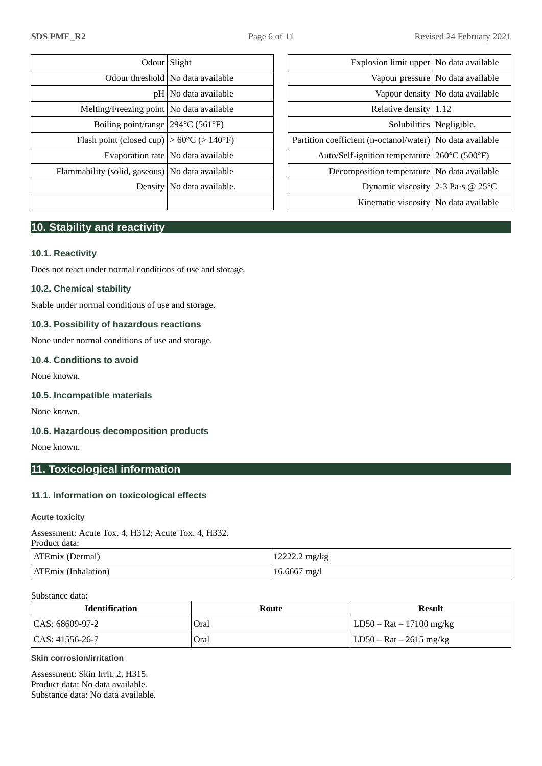|                                                              | Odour Slight                         | Explosion limit upper No data available                     |                                     |
|--------------------------------------------------------------|--------------------------------------|-------------------------------------------------------------|-------------------------------------|
|                                                              | Odour threshold   No data available  |                                                             | Vapour pressure   No data available |
|                                                              | $pH $ No data available              |                                                             | Vapour density   No data available  |
| Melting/Freezing point   No data available                   |                                      | Relative density $ 1.12$                                    |                                     |
| Boiling point/range 294 °C (561 °F)                          |                                      |                                                             | Solubilities   Negligible.          |
| Flash point (closed cup) $ >60^{\circ}C$ ( $>140^{\circ}F$ ) |                                      | Partition coefficient (n-octanol/water)   No data available |                                     |
|                                                              | Evaporation rate   No data available | Auto/Self-ignition temperature 260°C (500°F)                |                                     |
| Flammability (solid, gaseous)   No data available            |                                      | Decomposition temperature   No data available               |                                     |
|                                                              | Density   No data available.         | Dynamic viscosity 2-3 Pa·s @ 25 $\textdegree$ C             |                                     |
|                                                              |                                      | $L^2$ in cuesti o cienceito $ N_{\alpha} $ dete ecceileble  |                                     |

| Odour Slight                                                 |                                      | Explosion limit upper   No data available                   |                                     |
|--------------------------------------------------------------|--------------------------------------|-------------------------------------------------------------|-------------------------------------|
|                                                              | Odour threshold   No data available  |                                                             | Vapour pressure   No data available |
|                                                              | pH   No data available               |                                                             | Vapour density   No data available  |
| Melting/Freezing point   No data available                   |                                      | Relative density $ 1.12$                                    |                                     |
| Boiling point/range 294 °C (561 °F)                          |                                      | Solubilities   Negligible.                                  |                                     |
| Flash point (closed cup) $ >60^{\circ}C$ ( $>140^{\circ}F$ ) |                                      | Partition coefficient (n-octanol/water)   No data available |                                     |
|                                                              | Evaporation rate   No data available | Auto/Self-ignition temperature 260°C (500°F)                |                                     |
| mability (solid, gaseous)   No data available                |                                      | Decomposition temperature   No data available               |                                     |
|                                                              | Density   No data available.         | Dynamic viscosity 2-3 Pa·s @ 25°C                           |                                     |
|                                                              |                                      | Kinematic viscosity   No data available                     |                                     |
|                                                              |                                      |                                                             |                                     |

# **10. Stability and reactivity**

# **10.1. Reactivity**

Does not react under normal conditions of use and storage.

# **10.2. Chemical stability**

Stable under normal conditions of use and storage.

# **10.3. Possibility of hazardous reactions**

None under normal conditions of use and storage.

# **10.4. Conditions to avoid**

None known.

# **10.5. Incompatible materials**

None known.

# **10.6. Hazardous decomposition products**

None known.

# **11. Toxicological information**

# **11.1. Information on toxicological effects**

## **Acute toxicity**

Assessment: Acute Tox. 4, H312; Acute Tox. 4, H332.

| Product data:              |                |
|----------------------------|----------------|
| ATEmix (Dermal)            | 12222.2 mg/kg  |
| <b>ATEmix (Inhalation)</b> | $16.6667$ mg/l |

#### Substance data:

| <b>Identification</b> | Route | Result                     |
|-----------------------|-------|----------------------------|
| CAS: 68609-97-2       | Oral  | LD50 – Rat – 17100 mg/kg   |
| CAS: 41556-26-7       | Oral  | $ LD50 - Rat - 2615 mg/kg$ |

## **Skin corrosion/irritation**

Assessment: Skin Irrit. 2, H315. Product data: No data available. Substance data: No data available.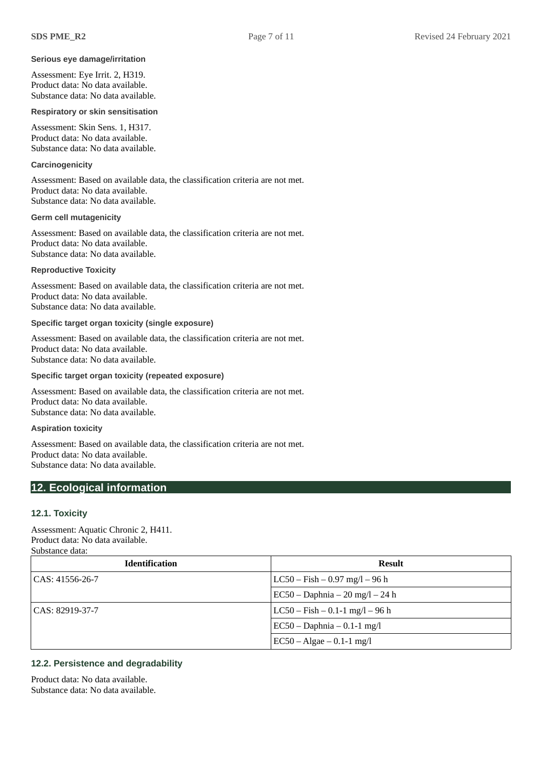#### **Serious eye damage/irritation**

Assessment: Eye Irrit. 2, H319. Product data: No data available. Substance data: No data available.

#### **Respiratory or skin sensitisation**

Assessment: Skin Sens. 1, H317. Product data: No data available. Substance data: No data available.

## **Carcinogenicity**

Assessment: Based on available data, the classification criteria are not met. Product data: No data available. Substance data: No data available.

#### **Germ cell mutagenicity**

Assessment: Based on available data, the classification criteria are not met. Product data: No data available. Substance data: No data available.

**Reproductive Toxicity**

Assessment: Based on available data, the classification criteria are not met. Product data: No data available. Substance data: No data available.

#### **Specific target organ toxicity (single exposure)**

Assessment: Based on available data, the classification criteria are not met. Product data: No data available. Substance data: No data available.

#### **Specific target organ toxicity (repeated exposure)**

Assessment: Based on available data, the classification criteria are not met. Product data: No data available. Substance data: No data available.

**Aspiration toxicity**

Assessment: Based on available data, the classification criteria are not met. Product data: No data available. Substance data: No data available.

## **12. Ecological information**

#### **12.1. Toxicity**

Assessment: Aquatic Chronic 2, H411. Product data: No data available. Substance data:

| <b>Identification</b> | <b>Result</b>                         |
|-----------------------|---------------------------------------|
| CAS: 41556-26-7       | $LC50 - Fish - 0.97$ mg/l $- 96$ h    |
|                       | $EC50 - Daphnia - 20 mg/l - 24 h$     |
| CAS: 82919-37-7       | $LC50 - Fish - 0.1 - 1$ mg/l $- 96$ h |
|                       | $EC50 - Daphnia - 0.1-1 mg/l$         |
|                       | $EC50 - Algae - 0.1-1$ mg/l           |

# **12.2. Persistence and degradability**

Product data: No data available. Substance data: No data available.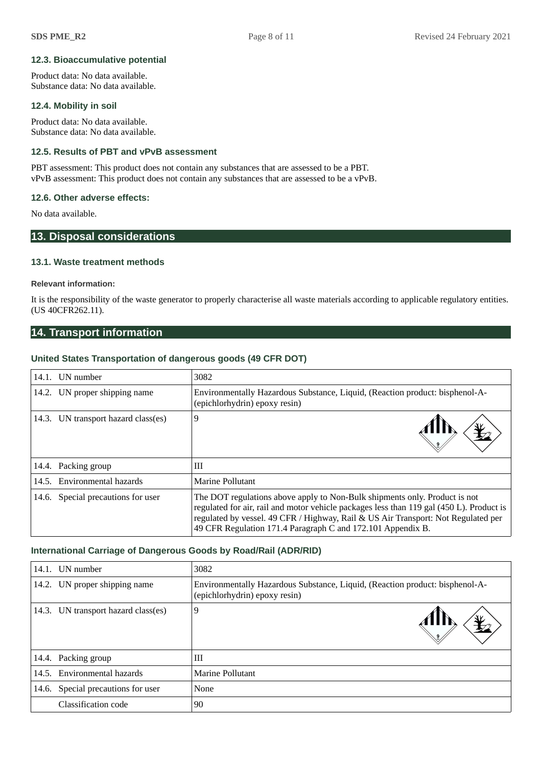## **12.3. Bioaccumulative potential**

Product data: No data available. Substance data: No data available.

## **12.4. Mobility in soil**

Product data: No data available. Substance data: No data available.

# **12.5. Results of PBT and vPvB assessment**

PBT assessment: This product does not contain any substances that are assessed to be a PBT. vPvB assessment: This product does not contain any substances that are assessed to be a vPvB.

## **12.6. Other adverse effects:**

No data available.

# **13. Disposal considerations**

#### **13.1. Waste treatment methods**

#### **Relevant information:**

It is the responsibility of the waste generator to properly characterise all waste materials according to applicable regulatory entities. (US 40CFR262.11).

# **14. Transport information**

#### **United States Transportation of dangerous goods (49 CFR DOT)**

| 14.1. UN number                     | 3082                                                                                                                                                                                                                                                                                                                       |
|-------------------------------------|----------------------------------------------------------------------------------------------------------------------------------------------------------------------------------------------------------------------------------------------------------------------------------------------------------------------------|
| 14.2. UN proper shipping name       | Environmentally Hazardous Substance, Liquid, (Reaction product: bisphenol-A-<br>(epichlorhydrin) epoxy resin)                                                                                                                                                                                                              |
| 14.3. UN transport hazard class(es) | 9                                                                                                                                                                                                                                                                                                                          |
| 14.4. Packing group                 | Ш                                                                                                                                                                                                                                                                                                                          |
| 14.5. Environmental hazards         | Marine Pollutant                                                                                                                                                                                                                                                                                                           |
| 14.6. Special precautions for user  | The DOT regulations above apply to Non-Bulk shipments only. Product is not<br>regulated for air, rail and motor vehicle packages less than 119 gal (450 L). Product is<br>regulated by vessel. 49 CFR / Highway, Rail & US Air Transport: Not Regulated per<br>49 CFR Regulation 171.4 Paragraph C and 172.101 Appendix B. |

#### **International Carriage of Dangerous Goods by Road/Rail (ADR/RID)**

| 14.1. | UN number                           | 3082                                                                                                          |
|-------|-------------------------------------|---------------------------------------------------------------------------------------------------------------|
|       | 14.2. UN proper shipping name       | Environmentally Hazardous Substance, Liquid, (Reaction product: bisphenol-A-<br>(epichlorhydrin) epoxy resin) |
|       | 14.3. UN transport hazard class(es) | 9                                                                                                             |
|       | 14.4. Packing group                 | Ш                                                                                                             |
|       | 14.5. Environmental hazards         | Marine Pollutant                                                                                              |
|       | 14.6. Special precautions for user  | None                                                                                                          |
|       | Classification code                 | 90                                                                                                            |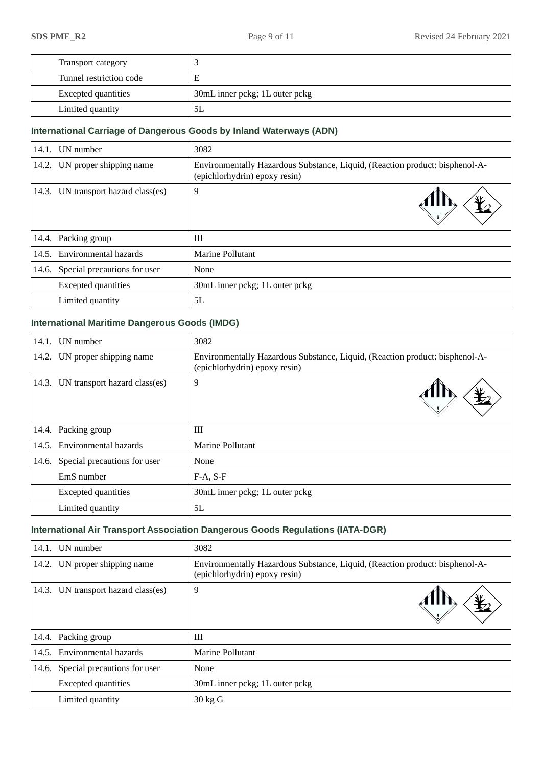| Transport category         |                                |
|----------------------------|--------------------------------|
| Tunnel restriction code    |                                |
| <b>Excepted quantities</b> | 30mL inner pckg; 1L outer pckg |
| Limited quantity           | ЫL                             |

# **International Carriage of Dangerous Goods by Inland Waterways (ADN)**

|       | 14.1. UN number                     | 3082                                                                                                          |  |
|-------|-------------------------------------|---------------------------------------------------------------------------------------------------------------|--|
|       | 14.2. UN proper shipping name       | Environmentally Hazardous Substance, Liquid, (Reaction product: bisphenol-A-<br>(epichlorhydrin) epoxy resin) |  |
|       | 14.3. UN transport hazard class(es) | 9                                                                                                             |  |
|       | 14.4. Packing group                 | Ш                                                                                                             |  |
|       | 14.5. Environmental hazards         | Marine Pollutant                                                                                              |  |
| 14.6. | Special precautions for user        | None                                                                                                          |  |
|       | <b>Excepted quantities</b>          | 30mL inner pckg; 1L outer pckg                                                                                |  |
|       | Limited quantity                    | 5L                                                                                                            |  |

# **International Maritime Dangerous Goods (IMDG)**

| 14.1. | UN number                           | 3082                                                                                                          |  |
|-------|-------------------------------------|---------------------------------------------------------------------------------------------------------------|--|
|       | 14.2. UN proper shipping name       | Environmentally Hazardous Substance, Liquid, (Reaction product: bisphenol-A-<br>(epichlorhydrin) epoxy resin) |  |
|       | 14.3. UN transport hazard class(es) | 9                                                                                                             |  |
|       | 14.4. Packing group                 | Ш                                                                                                             |  |
|       | 14.5. Environmental hazards         | Marine Pollutant                                                                                              |  |
|       | 14.6. Special precautions for user  | None                                                                                                          |  |
|       | EmS number                          | $F-A, S-F$                                                                                                    |  |
|       | <b>Excepted quantities</b>          | 30mL inner pckg; 1L outer pckg                                                                                |  |
|       | Limited quantity                    | 5L                                                                                                            |  |

# **International Air Transport Association Dangerous Goods Regulations (IATA-DGR)**

|       | 14.1. UN number                     | 3082                                                                                                          |  |
|-------|-------------------------------------|---------------------------------------------------------------------------------------------------------------|--|
|       | 14.2. UN proper shipping name       | Environmentally Hazardous Substance, Liquid, (Reaction product: bisphenol-A-<br>(epichlorhydrin) epoxy resin) |  |
|       | 14.3. UN transport hazard class(es) | 9                                                                                                             |  |
|       | 14.4. Packing group                 | Ш                                                                                                             |  |
| 14.5. | Environmental hazards               | Marine Pollutant                                                                                              |  |
| 14.6. | Special precautions for user        | None                                                                                                          |  |
|       | <b>Excepted quantities</b>          | 30mL inner pckg; 1L outer pckg                                                                                |  |
|       | Limited quantity                    | 30 kg G                                                                                                       |  |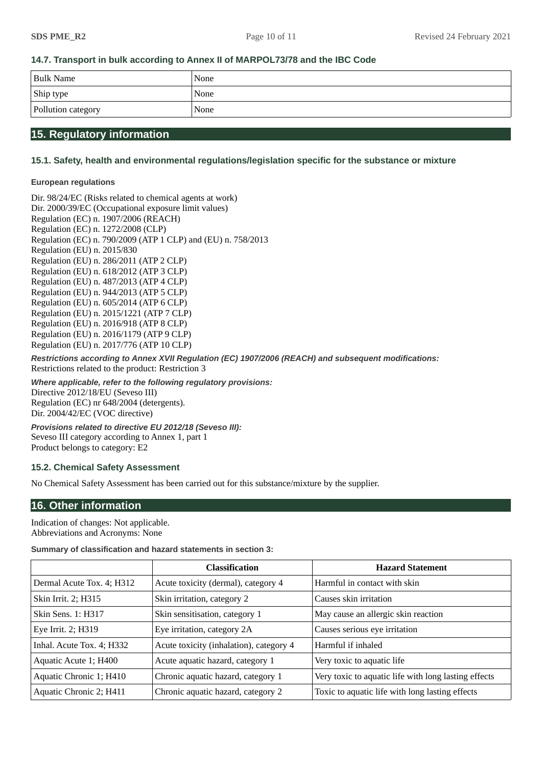# **14.7. Transport in bulk according to Annex II of MARPOL73/78 and the IBC Code**

| <b>Bulk Name</b>   | None |
|--------------------|------|
| Ship type          | None |
| Pollution category | None |

# **15. Regulatory information**

# **15.1. Safety, health and environmental regulations/legislation specific for the substance or mixture**

### **European regulations**

Dir. 98/24/EC (Risks related to chemical agents at work) Dir. 2000/39/EC (Occupational exposure limit values) Regulation (EC) n. 1907/2006 (REACH) Regulation (EC) n. 1272/2008 (CLP) Regulation (EC) n. 790/2009 (ATP 1 CLP) and (EU) n. 758/2013 Regulation (EU) n. 2015/830 Regulation (EU) n. 286/2011 (ATP 2 CLP) Regulation (EU) n. 618/2012 (ATP 3 CLP) Regulation (EU) n. 487/2013 (ATP 4 CLP) Regulation (EU) n. 944/2013 (ATP 5 CLP) Regulation (EU) n. 605/2014 (ATP 6 CLP) Regulation (EU) n. 2015/1221 (ATP 7 CLP) Regulation (EU) n. 2016/918 (ATP 8 CLP) Regulation (EU) n. 2016/1179 (ATP 9 CLP) Regulation (EU) n. 2017/776 (ATP 10 CLP)

*Restrictions according to Annex XVII Regulation (EC) 1907/2006 (REACH) and subsequent modifications:* Restrictions related to the product: Restriction 3

*Where applicable, refer to the following regulatory provisions:* Directive 2012/18/EU (Seveso III) Regulation (EC) nr 648/2004 (detergents). Dir. 2004/42/EC (VOC directive)

*Provisions related to directive EU 2012/18 (Seveso III):* Seveso III category according to Annex 1, part 1 Product belongs to category: E2

## **15.2. Chemical Safety Assessment**

No Chemical Safety Assessment has been carried out for this substance/mixture by the supplier.

# **16. Other information**

Indication of changes: Not applicable. Abbreviations and Acronyms: None

#### **Summary of classification and hazard statements in section 3:**

|                           | <b>Classification</b>                   | <b>Hazard Statement</b>                              |
|---------------------------|-----------------------------------------|------------------------------------------------------|
| Dermal Acute Tox. 4; H312 | Acute toxicity (dermal), category 4     | Harmful in contact with skin                         |
| Skin Irrit. 2; H315       | Skin irritation, category 2             | Causes skin irritation                               |
| <b>Skin Sens. 1: H317</b> | Skin sensitisation, category 1          | May cause an allergic skin reaction                  |
| Eye Irrit. 2; H319        | Eye irritation, category 2A             | Causes serious eye irritation                        |
| Inhal. Acute Tox. 4; H332 | Acute toxicity (inhalation), category 4 | Harmful if inhaled                                   |
| Aquatic Acute 1; H400     | Acute aquatic hazard, category 1        | Very toxic to aquatic life                           |
| Aquatic Chronic 1; H410   | Chronic aquatic hazard, category 1      | Very toxic to aquatic life with long lasting effects |
| Aquatic Chronic 2; H411   | Chronic aquatic hazard, category 2      | Toxic to aquatic life with long lasting effects      |